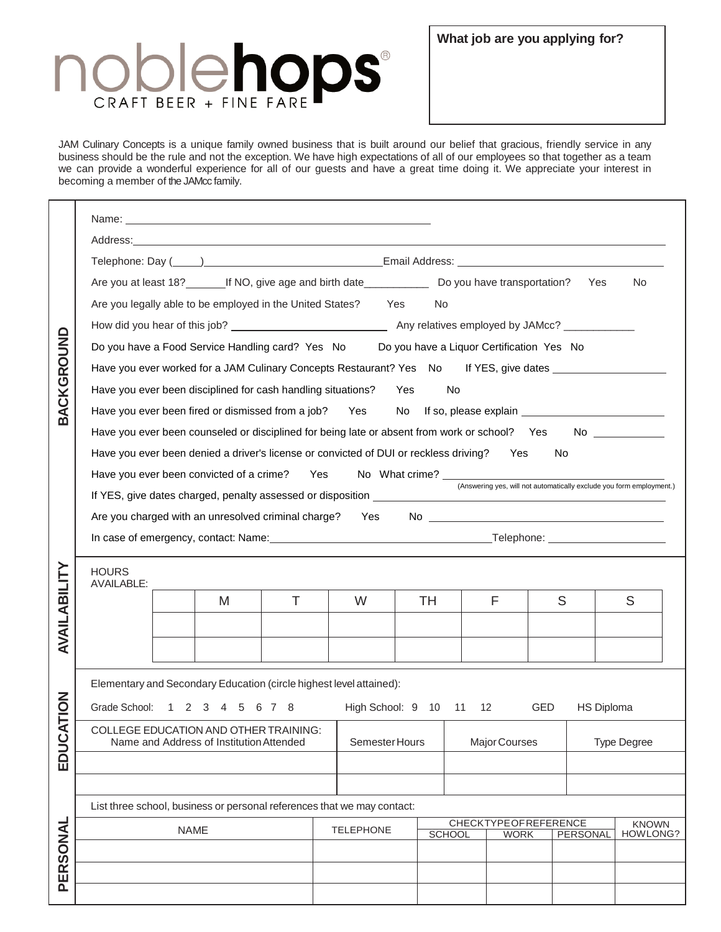# **noblehops**

**What job are you applying for?**

JAM Culinary Concepts is a unique family owned business that is built around our belief that gracious, friendly service in any business should be the rule and not the exception. We have high expectations of all of our employees so that together as a team we can provide a wonderful experience for all of our guests and have a great time doing it. We appreciate your interest in becoming a member of the JAMcc family.

| <b>BACKGROUND</b>     |                                                                                                                                                                                                                                                                                             |                                                                     |   |                  |                                                                                                      |               |                                                                      |                 |                          |  |  |  |  |
|-----------------------|---------------------------------------------------------------------------------------------------------------------------------------------------------------------------------------------------------------------------------------------------------------------------------------------|---------------------------------------------------------------------|---|------------------|------------------------------------------------------------------------------------------------------|---------------|----------------------------------------------------------------------|-----------------|--------------------------|--|--|--|--|
|                       |                                                                                                                                                                                                                                                                                             |                                                                     |   |                  | Are you at least 18? If NO, give age and birth date Common Do you have transportation?<br>Yes<br>No. |               |                                                                      |                 |                          |  |  |  |  |
|                       | Are you legally able to be employed in the United States? Yes<br>No                                                                                                                                                                                                                         |                                                                     |   |                  |                                                                                                      |               |                                                                      |                 |                          |  |  |  |  |
|                       |                                                                                                                                                                                                                                                                                             |                                                                     |   |                  |                                                                                                      |               |                                                                      |                 |                          |  |  |  |  |
|                       | Do you have a Food Service Handling card? Yes No Do you have a Liquor Certification Yes No                                                                                                                                                                                                  |                                                                     |   |                  |                                                                                                      |               |                                                                      |                 |                          |  |  |  |  |
|                       | Have you ever worked for a JAM Culinary Concepts Restaurant? Yes No If YES, give dates ____________                                                                                                                                                                                         |                                                                     |   |                  |                                                                                                      |               |                                                                      |                 |                          |  |  |  |  |
|                       | Have you ever been disciplined for cash handling situations?<br>Yes<br>No                                                                                                                                                                                                                   |                                                                     |   |                  |                                                                                                      |               |                                                                      |                 |                          |  |  |  |  |
|                       | Have you ever been fired or dismissed from a job? Yes                                                                                                                                                                                                                                       |                                                                     |   |                  |                                                                                                      |               |                                                                      |                 |                          |  |  |  |  |
|                       | Have you ever been counseled or disciplined for being late or absent from work or school? Yes No _________                                                                                                                                                                                  |                                                                     |   |                  |                                                                                                      |               |                                                                      |                 |                          |  |  |  |  |
|                       | Have you ever been denied a driver's license or convicted of DUI or reckless driving? Yes<br>No                                                                                                                                                                                             |                                                                     |   |                  |                                                                                                      |               |                                                                      |                 |                          |  |  |  |  |
|                       | Have you ever been convicted of a crime? Yes No What crime? ____________________                                                                                                                                                                                                            |                                                                     |   |                  |                                                                                                      |               |                                                                      |                 |                          |  |  |  |  |
|                       |                                                                                                                                                                                                                                                                                             |                                                                     |   |                  |                                                                                                      |               | (Answering yes, will not automatically exclude you form employment.) |                 |                          |  |  |  |  |
|                       | Are you charged with an unresolved criminal charge?<br><b>The Second Second Second Second Second Second Second Second Second Second Second Second Second Second Second Second Second Second Second Second Second Second Second Second Second Second Second Second Second Second Second </b> |                                                                     |   |                  |                                                                                                      |               |                                                                      |                 |                          |  |  |  |  |
|                       |                                                                                                                                                                                                                                                                                             |                                                                     |   |                  |                                                                                                      |               |                                                                      |                 |                          |  |  |  |  |
| AVAILABILITY          |                                                                                                                                                                                                                                                                                             |                                                                     |   |                  |                                                                                                      |               |                                                                      |                 |                          |  |  |  |  |
|                       | <b>HOURS</b><br><b>AVAILABLE:</b>                                                                                                                                                                                                                                                           |                                                                     |   |                  |                                                                                                      |               |                                                                      |                 |                          |  |  |  |  |
|                       |                                                                                                                                                                                                                                                                                             | M                                                                   | T | W                | TH.                                                                                                  |               | F                                                                    | S               | S                        |  |  |  |  |
|                       |                                                                                                                                                                                                                                                                                             |                                                                     |   |                  |                                                                                                      |               |                                                                      |                 |                          |  |  |  |  |
|                       |                                                                                                                                                                                                                                                                                             |                                                                     |   |                  |                                                                                                      |               |                                                                      |                 |                          |  |  |  |  |
|                       |                                                                                                                                                                                                                                                                                             |                                                                     |   |                  |                                                                                                      |               |                                                                      |                 |                          |  |  |  |  |
|                       |                                                                                                                                                                                                                                                                                             | Elementary and Secondary Education (circle highest level attained): |   |                  |                                                                                                      |               |                                                                      |                 |                          |  |  |  |  |
| <b>NOITA</b><br>EDUC, | Grade School: 1 2 3 4 5 6 7 8 High School: 9 10 11<br>12<br>GED<br><b>HS Diploma</b>                                                                                                                                                                                                        |                                                                     |   |                  |                                                                                                      |               |                                                                      |                 |                          |  |  |  |  |
|                       | <b>COLLEGE EDUCATION AND OTHER TRAINING:</b><br>Name and Address of Institution Attended                                                                                                                                                                                                    |                                                                     |   | Semester Hours   |                                                                                                      | Major Courses |                                                                      |                 | <b>Type Degree</b>       |  |  |  |  |
|                       |                                                                                                                                                                                                                                                                                             |                                                                     |   |                  |                                                                                                      |               |                                                                      |                 |                          |  |  |  |  |
|                       |                                                                                                                                                                                                                                                                                             |                                                                     |   |                  |                                                                                                      |               |                                                                      |                 |                          |  |  |  |  |
|                       | List three school, business or personal references that we may contact:                                                                                                                                                                                                                     |                                                                     |   |                  |                                                                                                      |               |                                                                      |                 |                          |  |  |  |  |
|                       | <b>NAME</b>                                                                                                                                                                                                                                                                                 |                                                                     |   | <b>TELEPHONE</b> |                                                                                                      | <b>SCHOOL</b> | <b>CHECKTYPEOFREFERENCE</b><br><b>WORK</b>                           | <b>PERSONAL</b> | <b>KNOWN</b><br>HOWLONG? |  |  |  |  |
|                       |                                                                                                                                                                                                                                                                                             |                                                                     |   |                  |                                                                                                      |               |                                                                      |                 |                          |  |  |  |  |
|                       |                                                                                                                                                                                                                                                                                             |                                                                     |   |                  |                                                                                                      |               |                                                                      |                 |                          |  |  |  |  |
| PERSONAL              |                                                                                                                                                                                                                                                                                             |                                                                     |   |                  |                                                                                                      |               |                                                                      |                 |                          |  |  |  |  |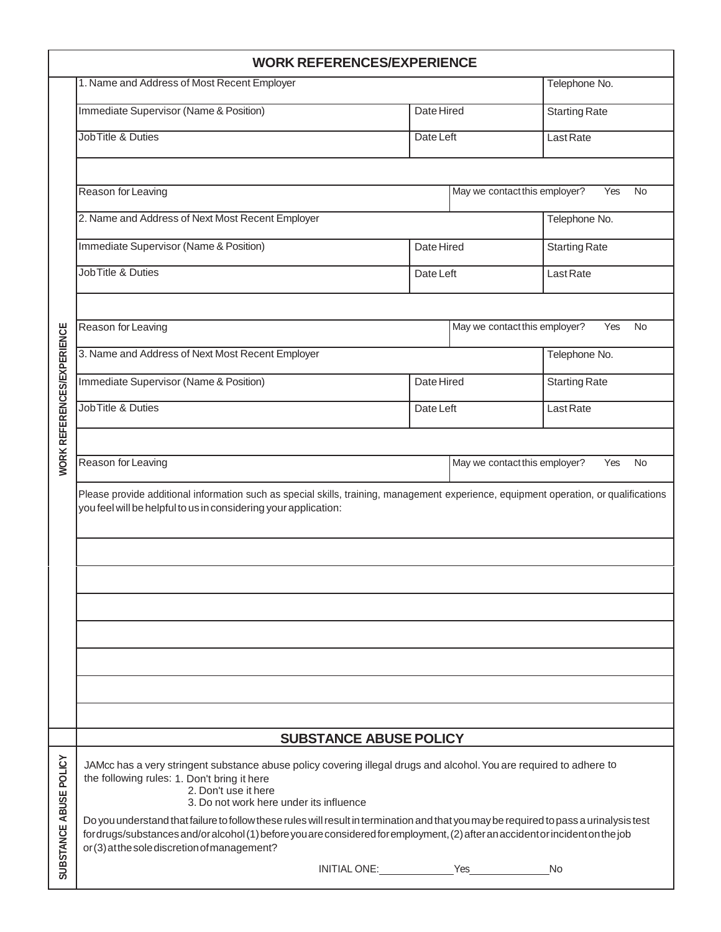| <b>WORK REFERENCES/EXPERIENCE</b> |                                                                                                                                                                                                                                                                                                                                                                                 |                                            |                               |                      |  |  |  |  |
|-----------------------------------|---------------------------------------------------------------------------------------------------------------------------------------------------------------------------------------------------------------------------------------------------------------------------------------------------------------------------------------------------------------------------------|--------------------------------------------|-------------------------------|----------------------|--|--|--|--|
|                                   | 1. Name and Address of Most Recent Employer                                                                                                                                                                                                                                                                                                                                     |                                            | Telephone No.                 |                      |  |  |  |  |
|                                   | Immediate Supervisor (Name & Position)                                                                                                                                                                                                                                                                                                                                          | Date Hired                                 |                               | <b>Starting Rate</b> |  |  |  |  |
|                                   | <b>Job Title &amp; Duties</b>                                                                                                                                                                                                                                                                                                                                                   | Date Left                                  |                               | Last Rate            |  |  |  |  |
|                                   |                                                                                                                                                                                                                                                                                                                                                                                 |                                            |                               |                      |  |  |  |  |
|                                   | Reason for Leaving                                                                                                                                                                                                                                                                                                                                                              | May we contact this employer?<br>Yes<br>No |                               |                      |  |  |  |  |
|                                   | 2. Name and Address of Next Most Recent Employer                                                                                                                                                                                                                                                                                                                                |                                            | Telephone No.                 |                      |  |  |  |  |
|                                   | Immediate Supervisor (Name & Position)                                                                                                                                                                                                                                                                                                                                          | Date Hired                                 |                               | <b>Starting Rate</b> |  |  |  |  |
|                                   | <b>Job Title &amp; Duties</b><br>Date Left                                                                                                                                                                                                                                                                                                                                      |                                            |                               | Last Rate            |  |  |  |  |
|                                   | Reason for Leaving<br>May we contact this employer?<br>Yes                                                                                                                                                                                                                                                                                                                      |                                            |                               |                      |  |  |  |  |
| <b>WORK REFERENCES/EXPERIENCE</b> | 3. Name and Address of Next Most Recent Employer                                                                                                                                                                                                                                                                                                                                | Telephone No.                              |                               |                      |  |  |  |  |
|                                   | Immediate Supervisor (Name & Position)                                                                                                                                                                                                                                                                                                                                          | Date Hired                                 |                               | <b>Starting Rate</b> |  |  |  |  |
|                                   | Job Title & Duties                                                                                                                                                                                                                                                                                                                                                              |                                            |                               | Last Rate            |  |  |  |  |
|                                   |                                                                                                                                                                                                                                                                                                                                                                                 | Date Left                                  |                               |                      |  |  |  |  |
|                                   | Reason for Leaving<br>Please provide additional information such as special skills, training, management experience, equipment operation, or qualifications<br>you feel will be helpful to us in considering your application:                                                                                                                                                  |                                            | May we contact this employer? | Yes<br><b>No</b>     |  |  |  |  |
|                                   | <b>SUBSTANCE ABUSE POLICY</b>                                                                                                                                                                                                                                                                                                                                                   |                                            |                               |                      |  |  |  |  |
| SUBSTANCE ABUSE POLICY            | JAMcc has a very stringent substance abuse policy covering illegal drugs and alcohol. You are required to adhere to<br>the following rules: 1. Don't bring it here<br>2. Don't use it here<br>3. Do not work here under its influence<br>Do you understand that failure to follow these rules will result in termination and that you may be required to pass a urinalysis test |                                            |                               |                      |  |  |  |  |
|                                   | fordrugs/substances and/oralcohol(1) before you are considered for employment, (2) after an accident or incident on the job<br>or (3) at the sole discretion of management?                                                                                                                                                                                                     |                                            |                               |                      |  |  |  |  |
|                                   |                                                                                                                                                                                                                                                                                                                                                                                 |                                            |                               |                      |  |  |  |  |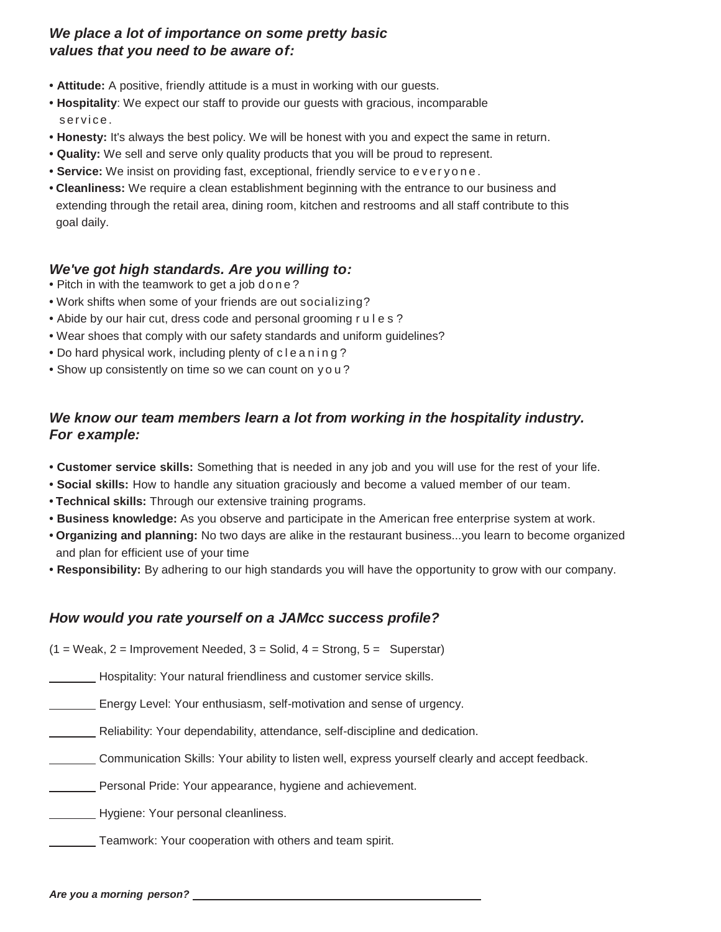# *We place a lot of importance on some pretty basic values that you need to be aware of:*

- **• Attitude:** A positive, friendly attitude is a must in working with our guests.
- **• Hospitality**: We expect our staff to provide our guests with gracious, incomparable service.
- **• Honesty:** It's always the best policy. We will be honest with you and expect the same in return.
- **• Quality:** We sell and serve only quality products that you will be proud to represent.
- **• Service:** We insist on providing fast, exceptional, friendly service to e v e r y o n e .
- **• Cleanliness:** We require a clean establishment beginning with the entrance to our business and extending through the retail area, dining room, kitchen and restrooms and all staff contribute to this goal daily.

## *We've got high standards. Are you willing to:*

- Pitch in with the teamwork to get a job d o n e?
- **•** Work shifts when some of your friends are out socializing?
- **•** Abide by our hair cut, dress code and personal grooming r u l e s ?
- **•** Wear shoes that comply with our safety standards and uniform guidelines?
- **•** Do hard physical work, including plenty of c l e a n i n g ?
- **•** Show up consistently on time so we can count on y o u ?

# *We know our team members learn a lot from working in the hospitality industry. For example:*

- **• Customer service skills:** Something that is needed in any job and you will use for the rest of your life.
- **• Social skills:** How to handle any situation graciously and become a valued member of our team.
- **• Technical skills:** Through our extensive training programs.
- **• Business knowledge:** As you observe and participate in the American free enterprise system at work.
- **• Organizing and planning:** No two days are alike in the restaurant business...you learn to become organized and plan for efficient use of your time
- **• Responsibility:** By adhering to our high standards you will have the opportunity to grow with our company.

### *How would you rate yourself on a JAMcc success profile?*

 $(1 = \text{Weak}, 2 = \text{Improvement Needed}, 3 = \text{Solid}, 4 = \text{Strong}, 5 = \text{Superstar})$ 

Hospitality: Your natural friendliness and customer service skills.

**Energy Level: Your enthusiasm, self-motivation and sense of urgency.** 

- Reliability: Your dependability, attendance, self-discipline and dedication.
- Communication Skills: Your ability to listen well, express yourself clearly and accept feedback.

Personal Pride: Your appearance, hygiene and achievement.

**EXECUTE:** Hygiene: Your personal cleanliness.

Teamwork: Your cooperation with others and team spirit.